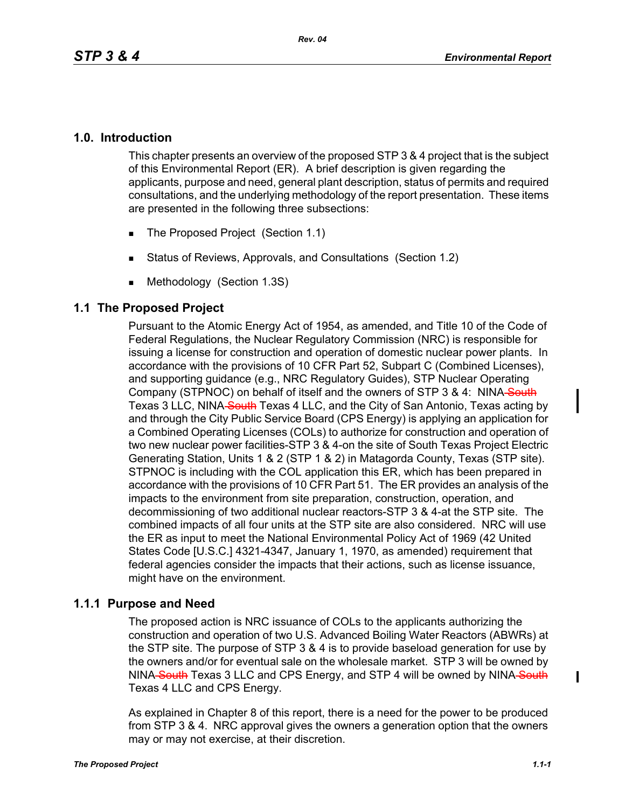## **1.0. Introduction**

This chapter presents an overview of the proposed STP 3 & 4 project that is the subject of this Environmental Report (ER). A brief description is given regarding the applicants, purpose and need, general plant description, status of permits and required consultations, and the underlying methodology of the report presentation. These items are presented in the following three subsections:

- The Proposed Project (Section 1.1)
- Status of Reviews, Approvals, and Consultations (Section 1.2)
- **Methodology (Section 1.3S)**

## **1.1 The Proposed Project**

Pursuant to the Atomic Energy Act of 1954, as amended, and Title 10 of the Code of Federal Regulations, the Nuclear Regulatory Commission (NRC) is responsible for issuing a license for construction and operation of domestic nuclear power plants. In accordance with the provisions of 10 CFR Part 52, Subpart C (Combined Licenses), and supporting guidance (e.g., NRC Regulatory Guides), STP Nuclear Operating Company (STPNOC) on behalf of itself and the owners of STP 3 & 4: NINA South Texas 3 LLC, NINA South Texas 4 LLC, and the City of San Antonio, Texas acting by and through the City Public Service Board (CPS Energy) is applying an application for a Combined Operating Licenses (COLs) to authorize for construction and operation of two new nuclear power facilities-STP 3 & 4-on the site of South Texas Project Electric Generating Station, Units 1 & 2 (STP 1 & 2) in Matagorda County, Texas (STP site). STPNOC is including with the COL application this ER, which has been prepared in accordance with the provisions of 10 CFR Part 51. The ER provides an analysis of the impacts to the environment from site preparation, construction, operation, and decommissioning of two additional nuclear reactors-STP 3 & 4-at the STP site. The combined impacts of all four units at the STP site are also considered. NRC will use the ER as input to meet the National Environmental Policy Act of 1969 (42 United States Code [U.S.C.] 4321-4347, January 1, 1970, as amended) requirement that federal agencies consider the impacts that their actions, such as license issuance, might have on the environment.

## **1.1.1 Purpose and Need**

The proposed action is NRC issuance of COLs to the applicants authorizing the construction and operation of two U.S. Advanced Boiling Water Reactors (ABWRs) at the STP site. The purpose of STP 3 & 4 is to provide baseload generation for use by the owners and/or for eventual sale on the wholesale market. STP 3 will be owned by NINA South Texas 3 LLC and CPS Energy, and STP 4 will be owned by NINA South Texas 4 LLC and CPS Energy.

As explained in Chapter 8 of this report, there is a need for the power to be produced from STP 3 & 4. NRC approval gives the owners a generation option that the owners may or may not exercise, at their discretion.

ı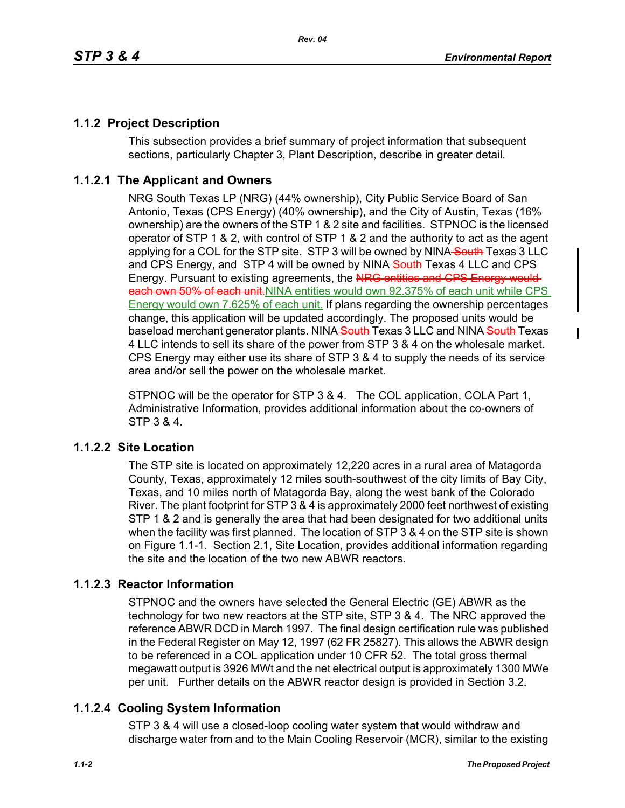# **1.1.2 Project Description**

This subsection provides a brief summary of project information that subsequent sections, particularly Chapter 3, Plant Description, describe in greater detail.

# **1.1.2.1 The Applicant and Owners**

NRG South Texas LP (NRG) (44% ownership), City Public Service Board of San Antonio, Texas (CPS Energy) (40% ownership), and the City of Austin, Texas (16% ownership) are the owners of the STP 1 & 2 site and facilities. STPNOC is the licensed operator of STP 1 & 2, with control of STP 1 & 2 and the authority to act as the agent applying for a COL for the STP site. STP 3 will be owned by NINA South Texas 3 LLC and CPS Energy, and STP 4 will be owned by NINA-South Texas 4 LLC and CPS Energy. Pursuant to existing agreements, the NRG entities and CPS Energy would each own 50% of each unit. NINA entities would own 92.375% of each unit while CPS Energy would own 7.625% of each unit. If plans regarding the ownership percentages change, this application will be updated accordingly. The proposed units would be baseload merchant generator plants. NINA South Texas 3 LLC and NINA South Texas 4 LLC intends to sell its share of the power from STP 3 & 4 on the wholesale market. CPS Energy may either use its share of STP 3 & 4 to supply the needs of its service area and/or sell the power on the wholesale market.

STPNOC will be the operator for STP 3 & 4. The COL application, COLA Part 1, Administrative Information, provides additional information about the co-owners of STP 3 & 4.

## **1.1.2.2 Site Location**

The STP site is located on approximately 12,220 acres in a rural area of Matagorda County, Texas, approximately 12 miles south-southwest of the city limits of Bay City, Texas, and 10 miles north of Matagorda Bay, along the west bank of the Colorado River. The plant footprint for STP 3 & 4 is approximately 2000 feet northwest of existing STP 1 & 2 and is generally the area that had been designated for two additional units when the facility was first planned. The location of STP 3 & 4 on the STP site is shown on Figure 1.1-1. Section 2.1, Site Location, provides additional information regarding the site and the location of the two new ABWR reactors.

## **1.1.2.3 Reactor Information**

STPNOC and the owners have selected the General Electric (GE) ABWR as the technology for two new reactors at the STP site, STP 3 & 4. The NRC approved the reference ABWR DCD in March 1997. The final design certification rule was published in the Federal Register on May 12, 1997 (62 FR 25827). This allows the ABWR design to be referenced in a COL application under 10 CFR 52. The total gross thermal megawatt output is 3926 MWt and the net electrical output is approximately 1300 MWe per unit. Further details on the ABWR reactor design is provided in Section 3.2.

## **1.1.2.4 Cooling System Information**

STP 3 & 4 will use a closed-loop cooling water system that would withdraw and discharge water from and to the Main Cooling Reservoir (MCR), similar to the existing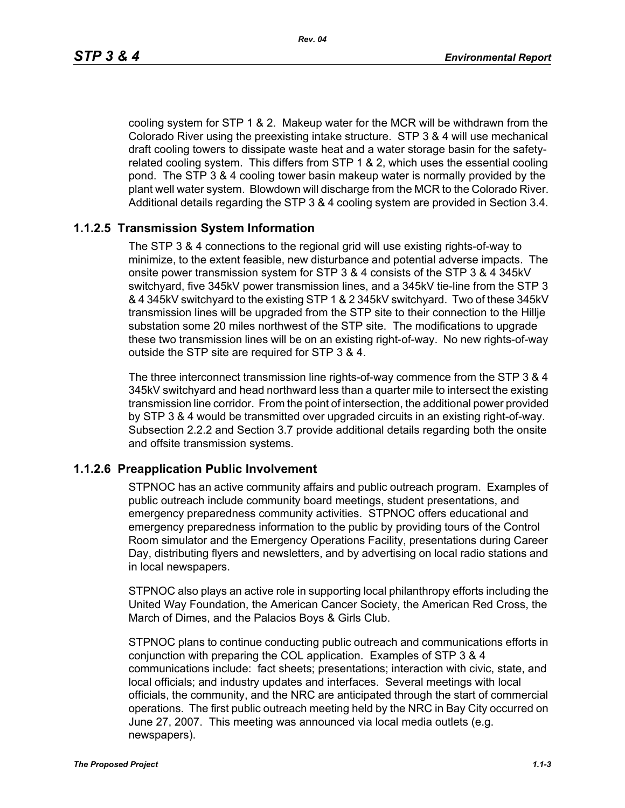cooling system for STP 1 & 2. Makeup water for the MCR will be withdrawn from the Colorado River using the preexisting intake structure. STP 3 & 4 will use mechanical draft cooling towers to dissipate waste heat and a water storage basin for the safetyrelated cooling system. This differs from STP 1 & 2, which uses the essential cooling pond. The STP 3 & 4 cooling tower basin makeup water is normally provided by the plant well water system. Blowdown will discharge from the MCR to the Colorado River. Additional details regarding the STP 3 & 4 cooling system are provided in Section 3.4.

#### **1.1.2.5 Transmission System Information**

The STP 3 & 4 connections to the regional grid will use existing rights-of-way to minimize, to the extent feasible, new disturbance and potential adverse impacts. The onsite power transmission system for STP 3 & 4 consists of the STP 3 & 4 345kV switchyard, five 345kV power transmission lines, and a 345kV tie-line from the STP 3 & 4 345kV switchyard to the existing STP 1 & 2 345kV switchyard. Two of these 345kV transmission lines will be upgraded from the STP site to their connection to the Hillje substation some 20 miles northwest of the STP site. The modifications to upgrade these two transmission lines will be on an existing right-of-way. No new rights-of-way outside the STP site are required for STP 3 & 4.

The three interconnect transmission line rights-of-way commence from the STP 3 & 4 345kV switchyard and head northward less than a quarter mile to intersect the existing transmission line corridor. From the point of intersection, the additional power provided by STP 3 & 4 would be transmitted over upgraded circuits in an existing right-of-way. Subsection 2.2.2 and Section 3.7 provide additional details regarding both the onsite and offsite transmission systems.

#### **1.1.2.6 Preapplication Public Involvement**

STPNOC has an active community affairs and public outreach program. Examples of public outreach include community board meetings, student presentations, and emergency preparedness community activities. STPNOC offers educational and emergency preparedness information to the public by providing tours of the Control Room simulator and the Emergency Operations Facility, presentations during Career Day, distributing flyers and newsletters, and by advertising on local radio stations and in local newspapers.

STPNOC also plays an active role in supporting local philanthropy efforts including the United Way Foundation, the American Cancer Society, the American Red Cross, the March of Dimes, and the Palacios Boys & Girls Club.

STPNOC plans to continue conducting public outreach and communications efforts in conjunction with preparing the COL application. Examples of STP 3 & 4 communications include: fact sheets; presentations; interaction with civic, state, and local officials; and industry updates and interfaces. Several meetings with local officials, the community, and the NRC are anticipated through the start of commercial operations. The first public outreach meeting held by the NRC in Bay City occurred on June 27, 2007. This meeting was announced via local media outlets (e.g. newspapers).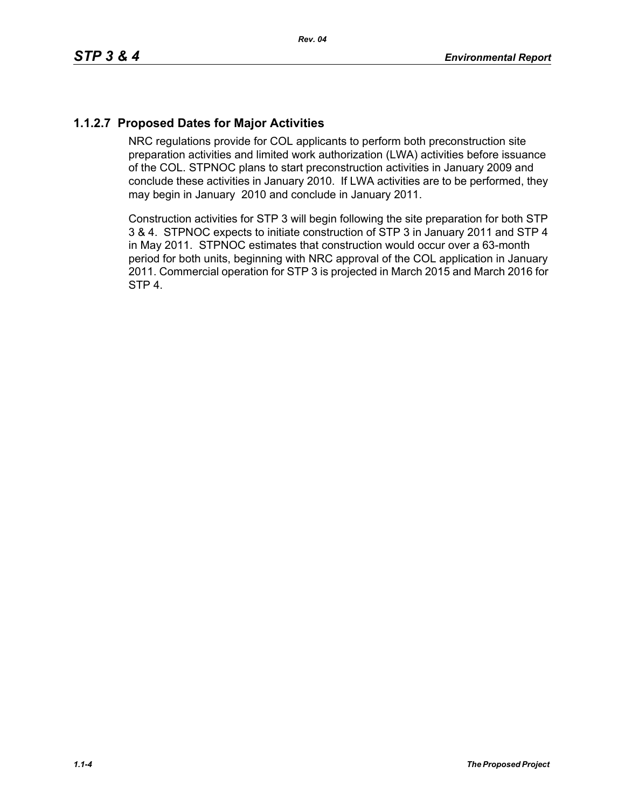# **1.1.2.7 Proposed Dates for Major Activities**

NRC regulations provide for COL applicants to perform both preconstruction site preparation activities and limited work authorization (LWA) activities before issuance of the COL. STPNOC plans to start preconstruction activities in January 2009 and conclude these activities in January 2010. If LWA activities are to be performed, they may begin in January 2010 and conclude in January 2011.

Construction activities for STP 3 will begin following the site preparation for both STP 3 & 4. STPNOC expects to initiate construction of STP 3 in January 2011 and STP 4 in May 2011. STPNOC estimates that construction would occur over a 63-month period for both units, beginning with NRC approval of the COL application in January 2011. Commercial operation for STP 3 is projected in March 2015 and March 2016 for STP 4.